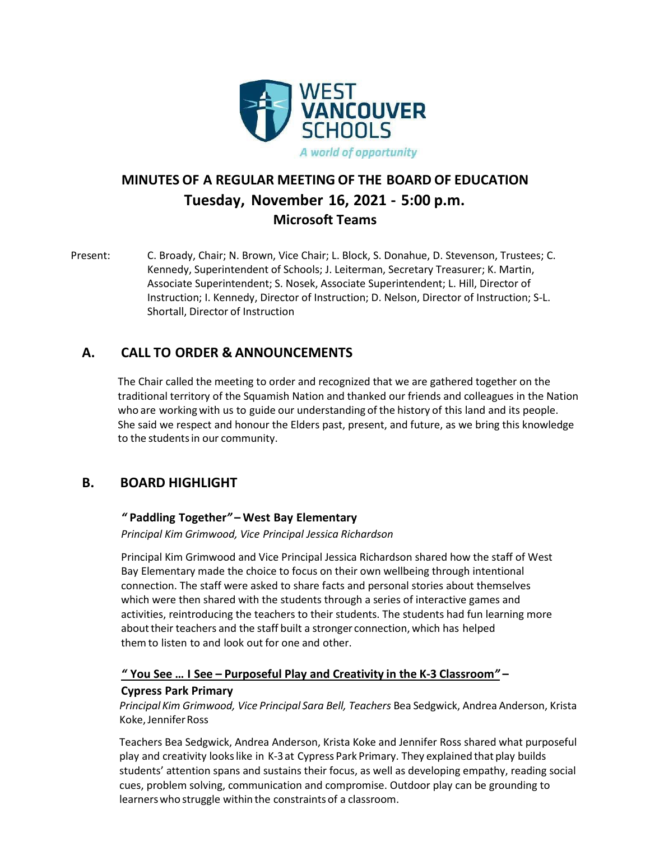

# **MINUTES OF A REGULAR MEETING OF THE BOARD OF EDUCATION Tuesday, November 16, 2021 - 5:00 p.m. Microsoft Teams**

Present: C. Broady, Chair; N. Brown, Vice Chair; L. Block, S. Donahue, D. Stevenson, Trustees; C. Kennedy, Superintendent of Schools; J. Leiterman, Secretary Treasurer; K. Martin, Associate Superintendent; S. Nosek, Associate Superintendent; L. Hill, Director of Instruction; I. Kennedy, Director of Instruction; D. Nelson, Director of Instruction; S-L. Shortall, Director of Instruction

## **A. CALL TO ORDER & ANNOUNCEMENTS**

The Chair called the meeting to order and recognized that we are gathered together on the traditional territory of the Squamish Nation and thanked our friends and colleagues in the Nation who are working with us to guide our understanding of the history of this land and its people. She said we respect and honour the Elders past, present, and future, as we bring this knowledge to the studentsin our community.

## **B. BOARD HIGHLIGHT**

### *"* **Paddling Together***"* **– West Bay Elementary**

*Principal Kim Grimwood, Vice Principal Jessica Richardson*

Principal Kim Grimwood and Vice Principal Jessica Richardson shared how the staff of West Bay Elementary made the choice to focus on their own wellbeing through intentional connection. The staff were asked to share facts and personal stories about themselves which were then shared with the students through a series of interactive games and activities, reintroducing the teachers to their students. The students had fun learning more abouttheir teachers and the staff built a stronger connection, which has helped them to listen to and look out for one and other.

## *"* **You See … I See – Purposeful Play and Creativity in the K-3 Classroom***"* **–**

### **Cypress Park Primary**

*Principal Kim Grimwood, Vice Principal Sara Bell, Teachers* Bea Sedgwick, Andrea Anderson, Krista Koke,JenniferRoss

Teachers Bea Sedgwick, Andrea Anderson, Krista Koke and Jennifer Ross shared what purposeful play and creativity lookslike in K-3at Cypress Park Primary. They explained that play builds students' attention spans and sustains their focus, as well as developing empathy, reading social cues, problem solving, communication and compromise. Outdoor play can be grounding to learners who struggle within the constraints of a classroom.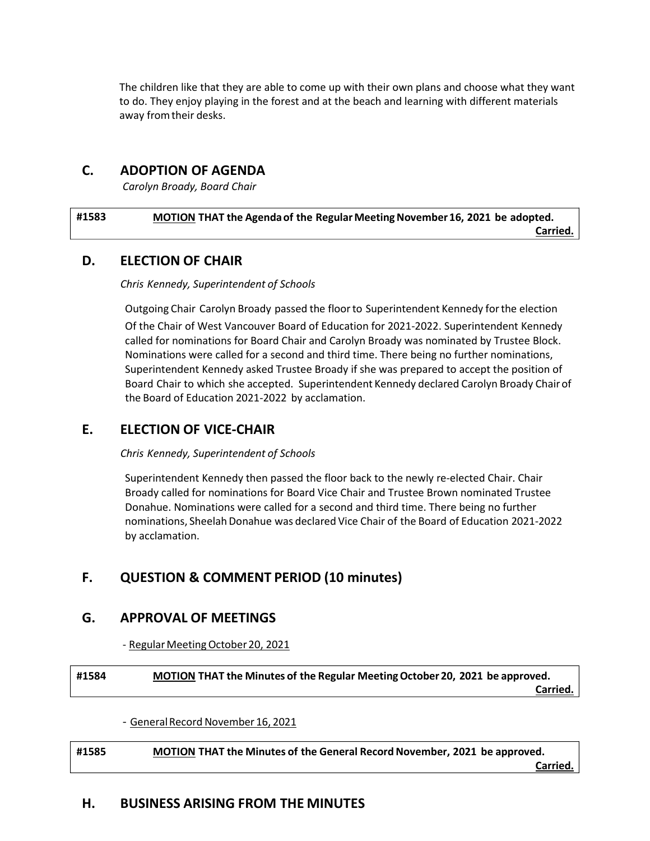The children like that they are able to come up with their own plans and choose what they want to do. They enjoy playing in the forest and at the beach and learning with different materials away fromtheir desks.

## **C. ADOPTION OF AGENDA**

*Carolyn Broady, Board Chair*

| #1583 | MOTION THAT the Agenda of the Regular Meeting November 16, 2021 be adopted. |  |
|-------|-----------------------------------------------------------------------------|--|
|       | Carried.                                                                    |  |

### **D. ELECTION OF CHAIR**

*Chris Kennedy, Superintendent of Schools*

Outgoing Chair Carolyn Broady passed the floorto Superintendent Kennedy forthe election

Of the Chair of West Vancouver Board of Education for 2021-2022. Superintendent Kennedy called for nominations for Board Chair and Carolyn Broady was nominated by Trustee Block. Nominations were called for a second and third time. There being no further nominations, Superintendent Kennedy asked Trustee Broady if she was prepared to accept the position of Board Chair to which she accepted. Superintendent Kennedy declared Carolyn Broady Chairof the Board of Education 2021-2022 by acclamation.

## **E. ELECTION OF VICE-CHAIR**

*Chris Kennedy, Superintendent of Schools*

Superintendent Kennedy then passed the floor back to the newly re-elected Chair. Chair Broady called for nominations for Board Vice Chair and Trustee Brown nominated Trustee Donahue. Nominations were called for a second and third time. There being no further nominations, Sheelah Donahue was declared Vice Chair of the Board of Education 2021-2022 by acclamation.

## **F. QUESTION & COMMENT PERIOD (10 minutes)**

## **G. APPROVAL OF MEETINGS**

- Regular Meeting October 20, 2021

**#1584 MOTION THAT the Minutes of the Regular MeetingOctober 20, 2021 be approved. Carried.**

- General Record November 16, 2021

**#1585 MOTION THAT the Minutes of the General RecordNovember, 2021 be approved. Carried.**

## **H. BUSINESS ARISING FROM THE MINUTES**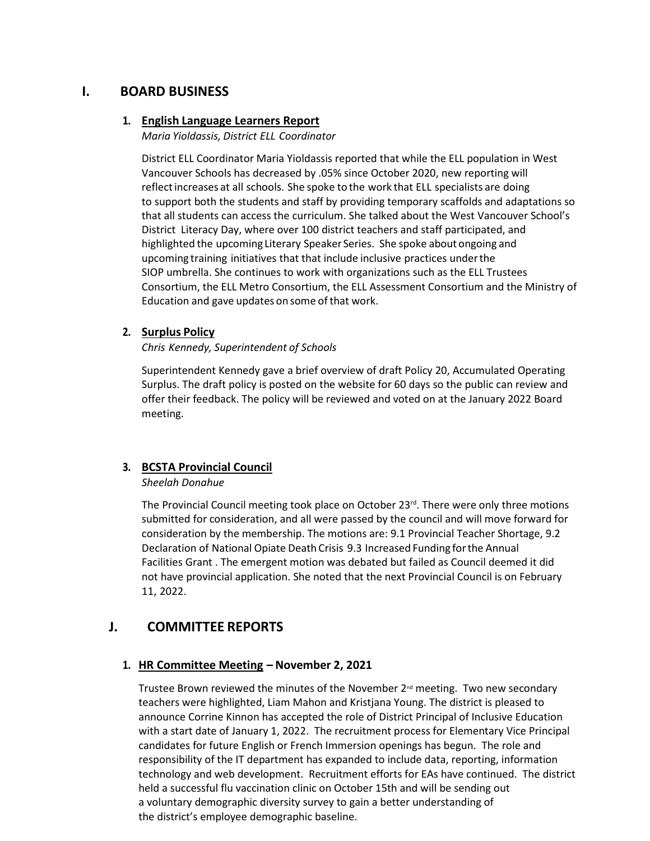## **I. BOARD BUSINESS**

#### **1. English Language Learners Report**

*Maria Yioldassis, District ELL Coordinator*

District ELL Coordinator Maria Yioldassis reported that while the ELL population in West Vancouver Schools has decreased by .05% since October 2020, new reporting will reflectincreases at all schools. She spoke to the work that ELL specialists are doing to support both the students and staff by providing temporary scaffolds and adaptations so that all students can access the curriculum. She talked about the West Vancouver School's District Literacy Day, where over 100 district teachers and staff participated, and highlighted the upcoming Literary Speaker Series. She spoke about ongoing and upcoming training initiatives that that include inclusive practices underthe SIOP umbrella. She continues to work with organizations such as the ELL Trustees Consortium, the ELL Metro Consortium, the ELL Assessment Consortium and the Ministry of Education and gave updates on some of that work.

### **2. Surplus Policy**

*Chris Kennedy, Superintendent of Schools*

Superintendent Kennedy gave a brief overview of draft Policy 20, Accumulated Operating Surplus. The draft policy is posted on the website for 60 days so the public can review and offer their feedback. The policy will be reviewed and voted on at the January 2022 Board meeting.

### **3. BCSTA Provincial Council**

#### *Sheelah Donahue*

The Provincial Council meeting took place on October  $23^{rd}$ . There were only three motions submitted for consideration, and all were passed by the council and will move forward for consideration by the membership. The motions are: 9.1 Provincial Teacher Shortage, 9.2 Declaration of National Opiate Death Crisis 9.3 Increased Funding forthe Annual Facilities Grant . The emergent motion was debated but failed as Council deemed it did not have provincial application. She noted that the next Provincial Council is on February 11, 2022.

## **J. COMMITTEE REPORTS**

### **1. HR Committee Meeting – November 2, 2021**

Trustee Brown reviewed the minutes of the November 2<sup>nd</sup> meeting. Two new secondary teachers were highlighted, Liam Mahon and Kristjana Young. The district is pleased to announce Corrine Kinnon has accepted the role of District Principal of Inclusive Education with a start date of January 1, 2022. The recruitment process for Elementary Vice Principal candidates for future English or French Immersion openings has begun. The role and responsibility of the IT department has expanded to include data, reporting, information technology and web development. Recruitment efforts for EAs have continued. The district held a successful flu vaccination clinic on October 15th and will be sending out a voluntary demographic diversity survey to gain a better understanding of the district's employee demographic baseline.